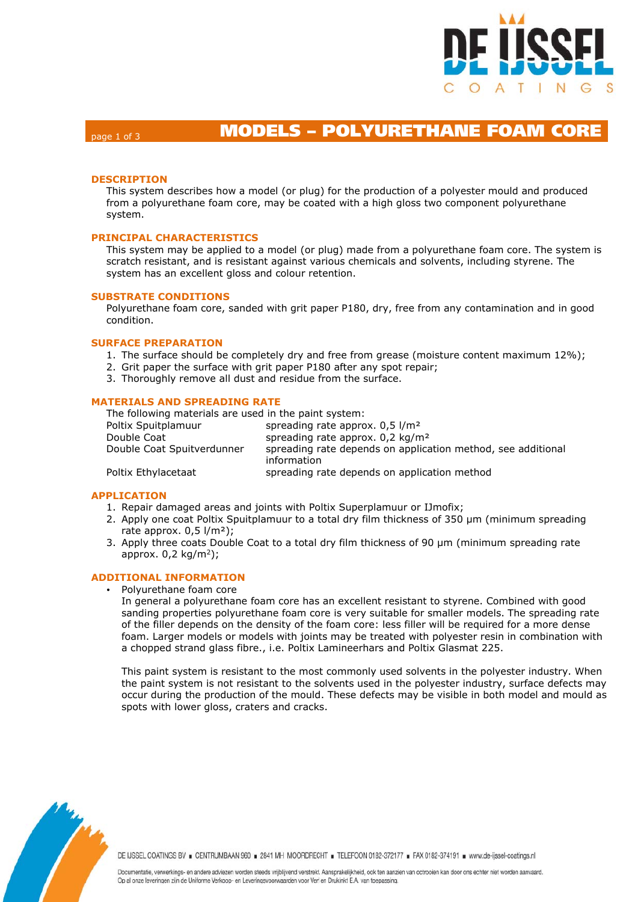

# page 1 of 3 **MODELS – POLYURETHANE FOAM CORE**

### **DESCRIPTION**

This system describes how a model (or plug) for the production of a polyester mould and produced from a polyurethane foam core, may be coated with a high gloss two component polyurethane system.

### **PRINCIPAL CHARACTERISTICS**

This system may be applied to a model (or plug) made from a polyurethane foam core. The system is scratch resistant, and is resistant against various chemicals and solvents, including styrene. The system has an excellent gloss and colour retention.

#### **SUBSTRATE CONDITIONS**

Polyurethane foam core, sanded with grit paper P180, dry, free from any contamination and in good condition.

### **SURFACE PREPARATION**

- 1. The surface should be completely dry and free from grease (moisture content maximum 12%);
- 2. Grit paper the surface with grit paper P180 after any spot repair;
- 3. Thoroughly remove all dust and residue from the surface.

#### **MATERIALS AND SPREADING RATE**

The following materials are used in the paint system:

Poltix Spuitplamuur spreading rate approx. 0,5 l/m<sup>2</sup> Double Coat spreading rate approx. 0,2 kg/m<sup>2</sup> Double Coat Spuitverdunner spreading rate depends on application method, see additional information Poltix Ethylacetaat spreading rate depends on application method

### **APPLICATION**

- 1. Repair damaged areas and joints with Poltix Superplamuur or IJmofix;
- 2. Apply one coat Poltix Spuitplamuur to a total dry film thickness of 350 μm (minimum spreading rate approx.  $0.5$   $1/m<sup>2</sup>$ ;
- 3. Apply three coats Double Coat to a total dry film thickness of 90 µm (minimum spreading rate approx.  $0,2 \text{ kg/m}^2$ ;

### **ADDITIONAL INFORMATION**

Polyurethane foam core

In general a polyurethane foam core has an excellent resistant to styrene. Combined with good sanding properties polyurethane foam core is very suitable for smaller models. The spreading rate of the filler depends on the density of the foam core: less filler will be required for a more dense foam. Larger models or models with joints may be treated with polyester resin in combination with a chopped strand glass fibre., i.e. Poltix Lamineerhars and Poltix Glasmat 225.

This paint system is resistant to the most commonly used solvents in the polyester industry. When the paint system is not resistant to the solvents used in the polyester industry, surface defects may occur during the production of the mould. These defects may be visible in both model and mould as spots with lower gloss, craters and cracks.



DE IJSSEL COATINGS BV E CENTRUMBAAN 960 = 2841 MH MOORDRECHT = TELEFOON 0182-372177 = FAX 0182-374191 = www.de-ijssel-coatings.nl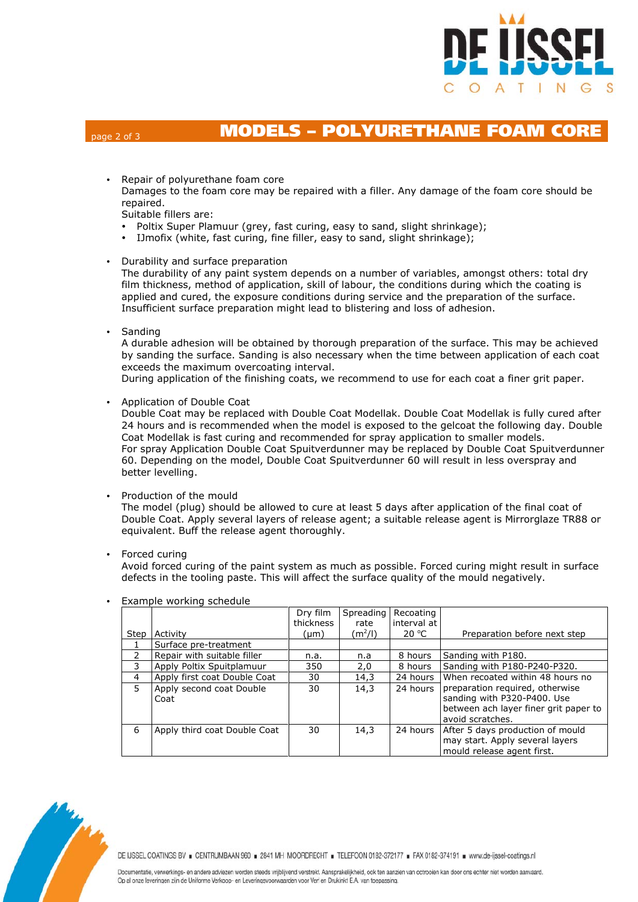

# page 2 of 3 **MODELS – POLYURETHANE FOAM CORE**

Repair of polyurethane foam core

Damages to the foam core may be repaired with a filler. Any damage of the foam core should be repaired.

Suitable fillers are:

- Poltix Super Plamuur (grey, fast curing, easy to sand, slight shrinkage);
- IJmofix (white, fast curing, fine filler, easy to sand, slight shrinkage);
- Durability and surface preparation

The durability of any paint system depends on a number of variables, amongst others: total dry film thickness, method of application, skill of labour, the conditions during which the coating is applied and cured, the exposure conditions during service and the preparation of the surface. Insufficient surface preparation might lead to blistering and loss of adhesion.

• Sanding

A durable adhesion will be obtained by thorough preparation of the surface. This may be achieved by sanding the surface. Sanding is also necessary when the time between application of each coat exceeds the maximum overcoating interval.

During application of the finishing coats, we recommend to use for each coat a finer grit paper.

Application of Double Coat

Double Coat may be replaced with Double Coat Modellak. Double Coat Modellak is fully cured after 24 hours and is recommended when the model is exposed to the gelcoat the following day. Double Coat Modellak is fast curing and recommended for spray application to smaller models. For spray Application Double Coat Spuitverdunner may be replaced by Double Coat Spuitverdunner 60. Depending on the model, Double Coat Spuitverdunner 60 will result in less overspray and better levelling.

• Production of the mould

The model (plug) should be allowed to cure at least 5 days after application of the final coat of Double Coat. Apply several layers of release agent; a suitable release agent is Mirrorglaze TR88 or equivalent. Buff the release agent thoroughly.

• Forced curing

Avoid forced curing of the paint system as much as possible. Forced curing might result in surface defects in the tooling paste. This will affect the surface quality of the mould negatively.

|                |                              | Dry film  | Spreading           | Recoating   |                                       |
|----------------|------------------------------|-----------|---------------------|-------------|---------------------------------------|
|                |                              | thickness | rate                | interval at |                                       |
| Step           | Activity                     | (µm)      | (m <sup>2</sup> /I) | 20 °C       | Preparation before next step          |
|                | Surface pre-treatment        |           |                     |             |                                       |
| $\mathcal{P}$  | Repair with suitable filler  | n.a.      | n.a                 | 8 hours     | Sanding with P180.                    |
| 3              | Apply Poltix Spuitplamuur    | 350       | 2,0                 | 8 hours     | Sanding with P180-P240-P320.          |
| $\overline{4}$ | Apply first coat Double Coat | 30        | 14,3                | 24 hours    | When recoated within 48 hours no      |
| 5              | Apply second coat Double     | 30        | 14,3                | 24 hours    | preparation required, otherwise       |
|                | Coat                         |           |                     |             | sanding with P320-P400. Use           |
|                |                              |           |                     |             | between ach layer finer grit paper to |
|                |                              |           |                     |             | avoid scratches.                      |
| 6              | Apply third coat Double Coat | 30        | 14,3                | 24 hours    | After 5 days production of mould      |
|                |                              |           |                     |             | may start. Apply several layers       |
|                |                              |           |                     |             | mould release agent first.            |

Example working schedule



DE IJSSEL COATINGS BV = CENTRUMBAAN 960 = 2841 MH MOORDRECHT = TELEFOON 0182-372177 = FAX 0182-374191 = www.de-ijssel-coatings.nl